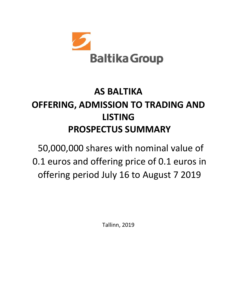

# **AS BALTIKA OFFERING, ADMISSION TO TRADING AND LISTING PROSPECTUS SUMMARY**

50,000,000 shares with nominal value of 0.1 euros and offering price of 0.1 euros in offering period July 16 to August 7 2019

Tallinn, 2019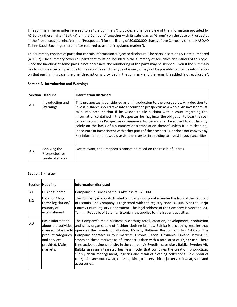This summary (hereinafter referred to as "the Summary") provides a brief overview of the information provided by AS Baltika (hereinafter "Baltika" or "the Company" together with its subsidiaries "Group") on the date of Prospectus in the Prospectus (hereinafter the "Prospectus") for the listing of 50,000,000 shares of the Company on the NASDAQ Tallinn Stock Exchange (hereinafter referred to as the "regulated market").

This summary consists of parts that contain information subject to disclosure. The parts in sections A-E are numbered (A.1-E.7). The summary covers all parts that must be included in the summary of securities and issuers of this type. Since the handling of some parts is not necessary, the numbering of the parts may be skipped. Even if the summary has to include a certain part due to the securities and the type of issuer, it may not be possible to provide information on that part. In this case, the brief description is provided in the summary and the remark is added "not applicable".

|            | <b>Section Headline</b>                            | Information disclosed                                                                                                                                                                                                                                                                                                                                                                                                                                                                                                                                                                                                                                                                                                          |
|------------|----------------------------------------------------|--------------------------------------------------------------------------------------------------------------------------------------------------------------------------------------------------------------------------------------------------------------------------------------------------------------------------------------------------------------------------------------------------------------------------------------------------------------------------------------------------------------------------------------------------------------------------------------------------------------------------------------------------------------------------------------------------------------------------------|
| <b>A.1</b> | Introduction and<br>Warnings                       | This prospectus is considered as an introduction to the prospectus. Any decision to<br>invest in shares should take into account the prospectus as a whole. An investor must<br>take into account that if he wishes to file a claim with a court regarding the<br>information contained in the Prospectus, he may incur the obligation to bear the cost<br>of translating this Prospectus or summary. No person shall be subject to civil liability<br>solely on the basis of a summary or a translation thereof unless it is misleading,<br>inaccurate or inconsistent with other parts of the prospectus, or does not convey any<br>key information that would assist the investor in deciding to invest in such securities. |
| A.2        | Applying the<br>Prospectus for<br>resale of shares | Not relevant, the Prospectus cannot be relied on the resale of Shares.                                                                                                                                                                                                                                                                                                                                                                                                                                                                                                                                                                                                                                                         |

**Section A- Introduction and Warnings**

### **Section B - Issuer**

|            | <b>Section Headline</b>                                                                      | <b>Information disclosed</b>                                                                                                                                                                                                                                                                                                                                                                                                                                                                                                                                                                                                                                                                                                                                                                                                                                         |
|------------|----------------------------------------------------------------------------------------------|----------------------------------------------------------------------------------------------------------------------------------------------------------------------------------------------------------------------------------------------------------------------------------------------------------------------------------------------------------------------------------------------------------------------------------------------------------------------------------------------------------------------------------------------------------------------------------------------------------------------------------------------------------------------------------------------------------------------------------------------------------------------------------------------------------------------------------------------------------------------|
| B.1        | <b>Business name</b>                                                                         | Company's business name is Aktsiaselts BALTIKA.                                                                                                                                                                                                                                                                                                                                                                                                                                                                                                                                                                                                                                                                                                                                                                                                                      |
| B.2        | Location/legal<br>form/legislation/<br>country of<br>establishment                           | The Company is a public limited company incorporated under the laws of the Republic<br>of Estonia. The Company is registered with the registry code 10144415 at the Harju<br>County Court Registry Department. The legal address of the Company is Veerenni 24,<br>Tallinn, Republic of Estonia. Estonian law applies to the Issuer's activities.                                                                                                                                                                                                                                                                                                                                                                                                                                                                                                                    |
| <b>B.3</b> | <b>Basic information</b><br>product categories<br>and services<br>provided. Main<br>markets. | The Company's main business is clothing retail, creation, development, production<br>about the activities, and sales organisation of fashion clothing brands. Baltika is a clothing retailer that<br>main activities, sold operates the brands of Monton, Mosaic, Baltman Bastion and Ivo Nikkolo. The<br>Company operates in four markets: Estonia, Latvia, Lithuania, Finland, having 89<br>stores on these markets as of Prospectus date with a total area of 17,337 m2. There<br>is no active business activity in the company's Swedish subsidiary Baltika Sweden AB.<br>Baltika uses an integrated business model that combines the creation, production,<br>supply chain management, logistics and retail of clothing collections. Sold product<br>categories are: outerwear, dresses, skirts, trousers, shirts, jackets, knitwear, suits and<br>accessories. |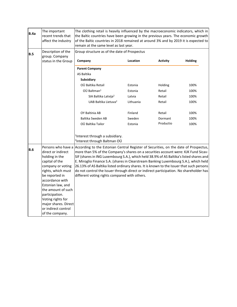| B.4a | The important<br>recent trends that<br>affect the industry                                                                                                                                                                                                                                                       | The clothing retail is heavily influenced by the macroeconomic indicators, which in<br>the Baltic countries have been growing in the previous years. The economic growth<br>of the Baltic countries in 2018 remained at around 3% and by 2019 it is expected to<br>remain at the same level as last year.                                                                                                                                                                                                                                                                                            |           |                 |                |
|------|------------------------------------------------------------------------------------------------------------------------------------------------------------------------------------------------------------------------------------------------------------------------------------------------------------------|------------------------------------------------------------------------------------------------------------------------------------------------------------------------------------------------------------------------------------------------------------------------------------------------------------------------------------------------------------------------------------------------------------------------------------------------------------------------------------------------------------------------------------------------------------------------------------------------------|-----------|-----------------|----------------|
| B.5  | Description of the<br>group. Company                                                                                                                                                                                                                                                                             | Group structure as of the date of Prospectus                                                                                                                                                                                                                                                                                                                                                                                                                                                                                                                                                         |           |                 |                |
|      | status in the Group                                                                                                                                                                                                                                                                                              | Company                                                                                                                                                                                                                                                                                                                                                                                                                                                                                                                                                                                              | Location  | <b>Activity</b> | <b>Holding</b> |
|      |                                                                                                                                                                                                                                                                                                                  | <b>Parent Company</b>                                                                                                                                                                                                                                                                                                                                                                                                                                                                                                                                                                                |           |                 |                |
|      |                                                                                                                                                                                                                                                                                                                  | AS Baltika                                                                                                                                                                                                                                                                                                                                                                                                                                                                                                                                                                                           |           |                 |                |
|      |                                                                                                                                                                                                                                                                                                                  | <b>Subsidiary</b>                                                                                                                                                                                                                                                                                                                                                                                                                                                                                                                                                                                    |           |                 |                |
|      |                                                                                                                                                                                                                                                                                                                  | OÜ Baltika Retail                                                                                                                                                                                                                                                                                                                                                                                                                                                                                                                                                                                    | Estonia   | Holding         | 100%           |
|      |                                                                                                                                                                                                                                                                                                                  | OÜ Baltman <sup>1</sup>                                                                                                                                                                                                                                                                                                                                                                                                                                                                                                                                                                              | Estonia   | Retail          | 100%           |
|      |                                                                                                                                                                                                                                                                                                                  | SIA Baltika Latvija <sup>2</sup>                                                                                                                                                                                                                                                                                                                                                                                                                                                                                                                                                                     | Latvia    | Retail          | 100%           |
|      |                                                                                                                                                                                                                                                                                                                  | UAB Baltika Lietuva <sup>2</sup>                                                                                                                                                                                                                                                                                                                                                                                                                                                                                                                                                                     | Lithuania | Retail          | 100%           |
|      |                                                                                                                                                                                                                                                                                                                  | OY Baltinia AB                                                                                                                                                                                                                                                                                                                                                                                                                                                                                                                                                                                       | Finland   | Retail          | 100%           |
|      |                                                                                                                                                                                                                                                                                                                  | Baltika Sweden AB                                                                                                                                                                                                                                                                                                                                                                                                                                                                                                                                                                                    | Sweden    | Dormant         | 100%           |
|      |                                                                                                                                                                                                                                                                                                                  | OÜ Baltika Tailor                                                                                                                                                                                                                                                                                                                                                                                                                                                                                                                                                                                    | Estonia   | Productio       | 100%           |
|      |                                                                                                                                                                                                                                                                                                                  | <sup>1</sup> Interest through a subsidiary.<br><sup>2</sup> Interest through Baltman OÜ                                                                                                                                                                                                                                                                                                                                                                                                                                                                                                              |           |                 |                |
| B.6  | Persons who have a<br>direct or indirect<br>holding in the<br>capital of the<br>company or voting<br>rights, which must<br>be reported in<br>accordance with<br>Estonian law, and<br>the amount of such<br>participation.<br>Voting rights for<br>major shares. Direct<br>or indirect control<br>of the company. | According to the Estonian Central Register of Securities, on the date of Prospectus,<br>more than 5% of the Company's shares on a securities account were: KJK Fund Sicav-<br>SIF (shares in ING Luxembourg S.A.), which held 38.9% of AS Baltika's listed shares and<br>E. Miroglio Finance S.A. (shares in Clearstream Banking Luxembourg S.A.), which held<br>26.13% of AS Baltika listed ordinary shares. It is known to the Issuer that such persons<br>do not control the Issuer through direct or indirect participation. No shareholder has<br>different voting rights compared with others. |           |                 |                |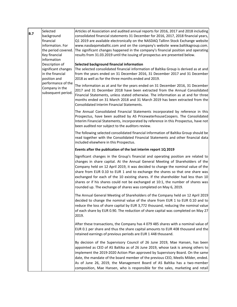| B.7 | Selected                                                                  | Articles of Association and audited annual reports for 2016, 2017 and 2018 including                                                                                                                                                                                                                                                                                                                                                                                                                                                                                                   |
|-----|---------------------------------------------------------------------------|----------------------------------------------------------------------------------------------------------------------------------------------------------------------------------------------------------------------------------------------------------------------------------------------------------------------------------------------------------------------------------------------------------------------------------------------------------------------------------------------------------------------------------------------------------------------------------------|
|     | background                                                                | consolidated financial statements 31 December for 2016, 2017, 2018 financial years,                                                                                                                                                                                                                                                                                                                                                                                                                                                                                                    |
|     | financial                                                                 | Q1 2019 are available electronically on the NASDAQ Tallinn Stock Exchange website                                                                                                                                                                                                                                                                                                                                                                                                                                                                                                      |
|     | information. For                                                          | www.nasdaqomxbaltic.com and on the company's website www.baltikagroup.com.                                                                                                                                                                                                                                                                                                                                                                                                                                                                                                             |
|     | the period covered.<br>Key financial                                      | The significant changes happened in the company's financial position and operating<br>results from 31.03.2019 until the issuing of prospectus are presented below.                                                                                                                                                                                                                                                                                                                                                                                                                     |
|     | information                                                               |                                                                                                                                                                                                                                                                                                                                                                                                                                                                                                                                                                                        |
|     | Description of<br>significant changes<br>in the financial<br>position and | Selected background financial information<br>The selected consolidated financial information of Baltika Group is derived as at and<br>from the years ended on 31 December 2016, 31 December 2017 and 31 December<br>2018 as well as for the three months ended and 2019.                                                                                                                                                                                                                                                                                                               |
|     | performance of the<br>Company in the<br>subsequent period.                | The information as at and for the years ended on 31 December 2016, 31 December<br>2017 and 31 December 2018 have been extracted from the Annual Consolidated<br>Financial Statements, unless stated otherwise. The information as at and for three<br>months ended on 31 March 2018 and 31 March 2019 has been extracted from the<br>Consolidated Interim Financial Statements.                                                                                                                                                                                                        |
|     |                                                                           | The Annual Consolidated Financial Statements incorporated by reference in this<br>Prospectus, have been audited by AS PricewaterhouseCoopers. The Consolidated<br>Interim Financial Statements, incorporated by reference in this Prospectus, have not<br>been audited nor subject to the auditors review.                                                                                                                                                                                                                                                                             |
|     |                                                                           | The following selected consolidated financial information of Baltika Group should be<br>read together with the Consolidated Financial Statements and other financial data<br>included elsewhere in this Prospectus.                                                                                                                                                                                                                                                                                                                                                                    |
|     |                                                                           | Events after the publication of the last interim report 1Q 2019                                                                                                                                                                                                                                                                                                                                                                                                                                                                                                                        |
|     |                                                                           | Significant changes in the Group's financial and operating position are related to<br>changes in share capital. At the Annual General Meeting of Shareholders of the<br>Company held on 12 April 2019, it was decided to change the nominal value of the<br>share from EUR 0.10 to EUR 1 and to exchange the shares so that one share was<br>exchanged for each of the 10 existing shares. If the shareholder had less than 10<br>shares or if his shares could not be exchanged at 10:1, the number of shares was<br>rounded up. The exchange of shares was completed on May 6, 2019. |
|     |                                                                           | The Annual General Meeting of Shareholders of the Company held on 12 April 2019<br>decided to change the nominal value of the share from EUR 1 to EUR 0.10 and to<br>reduce the loss of share capital by EUR 3,772 thousand, reducing the nominal value<br>of each share by EUR 0.90. The reduction of share capital was completed on May 27<br>2019.                                                                                                                                                                                                                                  |
|     |                                                                           | After these transactions, the Company has 4 079 485 shares with a nominal value of<br>EUR 0.1 per share and thus the share capital amounts to EUR 408 thousand and the<br>retained earnings of previous periods are EUR 1 448 thousand.                                                                                                                                                                                                                                                                                                                                                |
|     |                                                                           | By decision of the Supervisory Council of 26 June 2019, Mae Hansen, has been<br>appointed as CEO of AS Baltika as of 26 June 2019, whose task is among others to<br>implement the 2019-2020 Action Plan approved by Supervisory Board. On the same<br>date, the mandate of the board member of the previous CEO, Meelis Milder, ended.<br>As of June 26, 2019, the Management Board of AS Baltika has a two-member<br>composition, Mae Hansen, who is responsible for the sales, marketing and retail                                                                                  |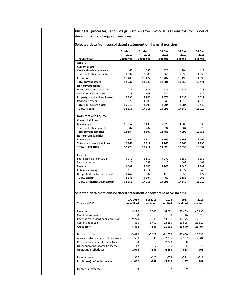business processes, and Maigi Pärnik-Pernik, who is responsible for product development and support functions.

# **Selected data from consolidated statement of financial position**

|                                      | 31 March<br>2019 | 31 March<br>2018 | 31 Dec<br>2018 | 31 Dec<br>2017 | 31 Dec<br>2016 |
|--------------------------------------|------------------|------------------|----------------|----------------|----------------|
| <b>Thousand EUR</b>                  | unaudited        | unaudited        | audited        | audited        | audited        |
| <b>ASSETS</b>                        |                  |                  |                |                |                |
| <b>Current assets</b>                |                  |                  |                |                |                |
| Cash and cash equivalents            | 465              | 485              | 428            | 704            | 419            |
| Trade and other receivables          | 1092             | 2 9 0 8          | 866            | 2055           | 1956           |
| Inventories                          | 10 4 80          | 10 127           | 10 707         | 10 4 9 9       | 11096          |
| <b>Total current assets</b>          | 12037            | 13 5 20          | 12 001         | 13 258         | 13 471         |
| <b>Non-current assets</b>            |                  |                  |                |                |                |
| Deferred income tax asset            | 286              | 189              | 286            | 189            | 228            |
| Other non-current assets             | 213              | 503              | 287            | 487            | 522            |
| Property, plant and equipment        | 18 2 8 8         | 2 2 0 0          | 1878           | 2 3 9 5        | 3022           |
| Intangible assets                    | 529              | 1506             | 543            | 1513           | 1676           |
| <b>Total non-current assets</b>      | 19 3 16          | 4398             | 2994           | 4584           | 5448           |
| <b>TOTAL ASSETS</b>                  | 31 353           | 17918            | 14 995         | 17842          | 18 919         |
| <b>LIABILITIES AND EQUITY</b>        |                  |                  |                |                |                |
| <b>Current liabilities</b>           |                  |                  |                |                |                |
| <b>Borrowings</b>                    | 15 957           | 3 1 9 0          | 7829           | 1 3 0 9        | 5835           |
| Trade and other payables             | 5 9 0 7          | 5 2 0 7          | 5934           | 5984           | 6923           |
| <b>Total current liabilities</b>     | 21864            | 8 397            | 13763          | 7 2 9 3        | 12 758         |
| <b>Non-current liabilities</b>       |                  |                  |                |                |                |
| <b>Borrowings</b>                    | 10864            | 5 3 1 7          | 1 1 6 5        | 5 3 6 3        | 1 1 9 6        |
| <b>Total non-current liabilities</b> | 10864            | 5 3 1 7          | 1 1 6 5        | 5363           | 1 1 9 6        |
| <b>TOTAL LIABILITIES</b>             | 32728            | 13714            | 14928          | 12 656         | 13 954         |
| <b>EQUITY</b>                        |                  |                  |                |                |                |
| Share capital at par value           | 4079             | 8 1 5 9          | 4079           | 8 1 5 9        | 8 1 5 9        |
| Share premium                        | 0                | 496              | 0              | 496            | 496            |
| Reserves                             | 1 1 0 7          | 1 3 4 5          | 1 1 0 7        | 1 3 4 5        | 1 1 8 2        |
| Retained earnings                    | $-5119$          | $-4814$          | 0              | $-4872$        | $-5049$        |
| Net profit (loss) for the period     | $-1442$          | $-982$           | $-5119$        | 58             | 177            |
| <b>TOTAL EQUITY</b>                  | $-1375$          | 4 2 0 4          | 67             | 5 1 8 6        | 4965           |
| TOTAL LIABILITIES AND EQUITY         | 31 353           | 17918            | 14 995         | 17842          | 18 919         |

# **Selected data from consolidated statement of comprehensive income**

|                                      | 1 Q 2019  | 1 Q 2018  | 2018     | 2017     | 2016     |
|--------------------------------------|-----------|-----------|----------|----------|----------|
| <b>Thousand EUR</b>                  | unaudited | unaudited | audited  | audited  | audited  |
|                                      |           |           |          |          |          |
| Revenue                              | 9 2 7 0   | 10 343    | 44 691   | 47 459   | 46 993   |
| Client bonus provision               | $\Omega$  | $\Omega$  | $\Omega$ | 16       | 23       |
| Revenue after client bonus provision | 9 2 7 0   | 10 343    | 44 691   | 47 475   | 47016    |
| Cost of goods sold                   | $-4836$   | $-5460$   | $-23155$ | $-23805$ | $-23519$ |
| <b>Gross profit</b>                  | 4434      | 4883      | 21 536   | 23 670   | 23 497   |
| <b>Distribution costs</b>            | $-5029$   | $-5127$   | $-21579$ | $-20630$ | $-20336$ |
| Administrative and general expenses  | -598      | -595      | $-2375$  | $-2.387$ | $-2504$  |
| Cost of impairment of receivables    | $\Omega$  | 0         | $-2229$  | $\Omega$ | $\Omega$ |
| Other operating income (-expense)    | 117       | $-17$     | $-16$    | $-35$    | 44       |
| <b>Operating profit (loss)</b>       | -1 076    | -856      | $-4663$  | 618      | 701      |
| Finance costs                        | $-366$    | $-126$    | $-553$   | $-521$   | $-519$   |
| Profit (loss) before income tax      | $-1442$   | -982      | $-5216$  | 97       | 182      |
| Income tax expense                   | 0         | 0         | 97       | -39      | -5       |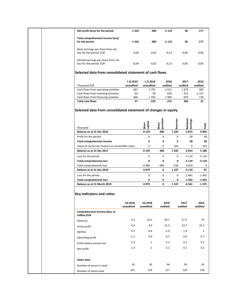| Net profit (loss) for the period                                |                      |                      |                  |                      |                    |
|-----------------------------------------------------------------|----------------------|----------------------|------------------|----------------------|--------------------|
|                                                                 | $-1442$              | -982                 | $-5119$          | 58                   | 177                |
| Total comprehensive income (loss)<br>for the period             | $-1442$              | -982                 | $-5119$          | 58                   | 177                |
| Basic earnings per share from net<br>loss for the period, EUR   | $-0,04$              | $-0,02$              | $-0,13$          | 0,00                 | 0,00               |
| Diluted earnings per share from net<br>loss for the period, EUR | $-0,04$              | $-0,02$              | $-0,13$          | 0,00                 | 0,00               |
| Selected data from consolidated statement of cash flows         |                      |                      |                  |                      |                    |
|                                                                 | 1 Q 2019             | 1 Q 2018             | 2018             | 2017                 | 2016               |
| <b>Thousand EUR</b>                                             | unaudited            | unaudited            | audited          | audited              | audited            |
| Cash flows from operating activities                            | 667                  | $-1792$              | $-1611$          | 1674                 | 460                |
| Cash flows from investing activities                            | -64                  | $-78$                | $-630$           | $-413$               | $-1157$            |
| Cash flows from financing activities                            | -566                 | 1750                 | 1965             | -976                 | 718                |
| <b>Total cash flows</b>                                         | 37                   | $-120$               | $-276$           | 285                  | 21                 |
| thousand                                                        |                      | capital<br>Share     | premium<br>Share | Reserves<br>Retained | earnings<br>Total  |
| Balance as at 31 Dec 2016                                       |                      | 8 1 5 9              | 496              | 1 1 8 2              | -4872<br>4965      |
| Profit for the period                                           |                      | 0                    | 0                | 0                    | 58<br>58           |
| Total comprehensive income                                      |                      | 0                    | 0                | 0                    | 58<br>58           |
| Value of conversion feature on convertible notes                |                      | 0                    | 0                | 163                  | 0<br>163           |
|                                                                 |                      |                      |                  |                      |                    |
| Balance as at 31 Dec 2017                                       |                      | 8 1 5 9              | 496              | 1345                 | -4814<br>5 1 8 6   |
| Loss for the period                                             |                      | 0                    | 0                | 0                    | $-5119$<br>$-5119$ |
| <b>Total comprehensive loss</b>                                 |                      | 0                    | 0                | 0                    | $-5119$<br>$-5119$ |
| Total comprehensive loss                                        |                      | -4 080               | $-496$           | $-238$               | 4814<br>0          |
| Balance as at 31 Dec 2018                                       |                      | 4079                 | 0                | 1 1 0 7              | $-5119$<br>67      |
| Loss for the period                                             |                      | 0                    | 0                | 0                    | $-1442$<br>$-1442$ |
| <b>Total comprehensive loss</b>                                 |                      | 0                    | 0                | 0                    | -1 442<br>-1 442   |
| Balance as at 31 March 2019                                     |                      | 4079                 | 0                | 1 1 0 7              | $-1375$<br>$-6561$ |
| <b>Key indicators and ratios</b>                                |                      |                      |                  |                      |                    |
|                                                                 | 1Q 2019<br>unaudited | 1Q 2018<br>unaudited | 2018<br>audited  | 2017<br>audited      | 2016<br>audited    |
| Comprehensive income data, in<br>million EUR                    |                      |                      |                  |                      |                    |
| Revenue                                                         | 9.3                  | 10.3                 | 44.7             | 47.5                 | 47                 |
|                                                                 | 4.4                  | 4.9                  | 21.5             | 23.7                 | 23.5               |
| Gross profit                                                    | 0.7                  | $-0.6$               | $-2.9$           | 1.9                  | $\overline{2}$     |
| EBITDA                                                          |                      | $-0.9$               | $-4.7$           | 0.6                  | 0.7                |
| Operating profit<br>Profit before income tax                    | $-1.1$<br>$-1.4$     | $-1$                 | $-5.2$           | 0.1                  | 0.2                |

Net profit **1.4** -1.4 -1 -5.1 0.1 0.2

Number of stores in retail 91 95 95 95 95 95 Number of stores total 101 126 117 128 128

**Other data**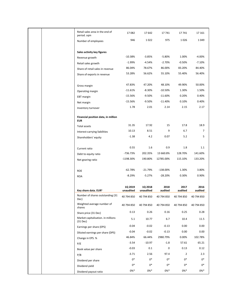|  | Retail sales area in the end of<br>period. sqm    | 17 082               | 17 642                      | 17 741          | 17741           | 17 16 1         |
|--|---------------------------------------------------|----------------------|-----------------------------|-----------------|-----------------|-----------------|
|  | Number of employees                               | 946                  | 1022                        | 975             | 1026            | 1049            |
|  |                                                   |                      |                             |                 |                 |                 |
|  | Sales activity key figures                        |                      |                             |                 |                 |                 |
|  | Revenue growth                                    | $-10.38%$            | $-3.85%$                    | $-5.80%$        | 1.00%           | $-4.00%$        |
|  | Retail sales growth                               | $-1.99%$             | $-4.54%$                    | $-2.70%$        | $-0.50%$        | $-7.10%$        |
|  | Share of retail sales in revenue                  | 86.04%               | 78.67%                      | 86.00%          | 83.20%          | 84.40%          |
|  | Share of exports in revenue                       | 53.28%               | 56.62%                      | 55.10%          | 55.40%          | 56.40%          |
|  |                                                   |                      |                             |                 |                 |                 |
|  | Gross margin                                      | 47.83%               | 47.20%                      | 48.10%          | 49.90%          | 50.00%          |
|  | Operating margin                                  | $-11.61\%$           | $-8.30%$                    | $-10.50%$       | 1.30%           | 1.50%           |
|  | <b>EBT</b> margin                                 | $-15.56%$            | $-9.50%$                    | $-11.60%$       | 0.20%           | 0.40%           |
|  | Net margin                                        | $-15.56%$            | $-9.50%$                    | $-11.40%$       | 0.10%           | 0.40%           |
|  | Inventory turnover                                | 1.78                 | 2.01                        | 2.14            | 2.15            | 2.17            |
|  |                                                   |                      |                             |                 |                 |                 |
|  | Financial position data, in million<br><b>EUR</b> |                      |                             |                 |                 |                 |
|  | Total assets                                      | 31.35                | 17.92                       | 15              | 17.8            | 18.9            |
|  |                                                   | 10.13                | 8.51                        | 9               | 6.7             | $\overline{7}$  |
|  | Interest-carrying liabilities                     | $-1.38$              | 4.2                         | 0.07            | 5.2             | 5               |
|  | Shareholders' equity                              |                      |                             |                 |                 |                 |
|  |                                                   | 0.55                 | 1.6                         | 0.9             | 1.8             | 1.1             |
|  | Current ratio                                     | -736.73%             | 202.35%                     | 13 660.8%       | 128.70%         | 141.60%         |
|  | Debt to equity ratio                              | -1198.30%            | 190.80%                     | 12785.00%       | 115.10%         | 133.20%         |
|  | Net gearing ratio                                 |                      |                             |                 |                 |                 |
|  |                                                   | $-62.78%$            | $-21.79%$                   | $-138.00\%$     | 1.30%           | 3.80%           |
|  | <b>ROE</b>                                        | $-8.29%$             |                             |                 | 0.30%           | 0.90%           |
|  | <b>ROA</b>                                        |                      | -5.27%                      | -28.20%         |                 |                 |
|  |                                                   |                      |                             |                 |                 |                 |
|  | Key share data. EUR1                              | 1Q 2019<br>unaudited | <b>1Q 2018</b><br>unaudited | 2018<br>audited | 2017<br>audited | 2016<br>audited |
|  | Number of shares outstanding (31<br>Dec)          | 40 794 850           | 40 794 850                  | 40 794 850      | 40 794 850      | 40 794 850      |
|  | Weighted average number of<br>shares              | 40 794 850           | 40 794 850                  | 40 794 850      | 40 794 850      | 40 794 850      |
|  | Share price (31 Dec)                              | 0.13                 | 0.26                        | 0.16            | 0.25            | 0.28            |
|  | Market capitalisation. in millions<br>$(31$ Dec)  | 5.1                  | 10.77                       | 6.7             | 10.4            | 11.5            |
|  | Earnings per share (EPS)                          | $-0.04$              | $-0.02$                     | $-0.13$         | 0.00            | 0.00            |
|  | Diluted earnings per share (DPS)                  | $-0.04$              | $-0.02$                     | $-0.13$         | 0.00            | 0.00            |
|  | Change in EPS. %                                  | 46.84%               | 66.44%                      | 2980.79%        | 0.00%           | 102.78%         |
|  | P/E                                               | $-3.54$              | $-10.97$                    | $-1.8$          | 57.61           | 65.21           |
|  | Book value per share                              | $-0.03$              | 0.1                         | 0               | 0.13            | 0.12            |
|  | P/B                                               | $-3.71$              | 2.56                        | 97.4            | 2               | 2.3             |
|  | Dividend per share                                | $0*$                 | $0*$                        | $0*$            | 0*              | 0*              |
|  |                                                   | $0*$                 | $0*$                        | $0*$            | 0*              | 0*              |
|  | Dividend payout ratio                             | $0\% *$              | $0\% *$                     | $0\% *$         | $0\% *$         | $0\% *$         |
|  | Dividend yield                                    |                      |                             |                 |                 |                 |
|  |                                                   |                      |                             |                 |                 |                 |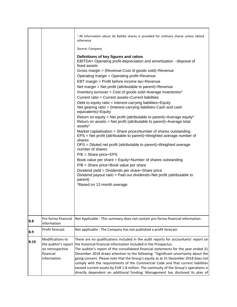|             |                                                                                           | <sup>1</sup> All information about AS Baltika shares is provided for ordinary shares unless sätted<br>otherwize                                                                                                                                                                                                                                                                                                                                                                                                                                                                                                                                                                                                                                                                                                                                                                                                                                                                                                                                                                                                                                                                                                                                                                                                                                                                     |
|-------------|-------------------------------------------------------------------------------------------|-------------------------------------------------------------------------------------------------------------------------------------------------------------------------------------------------------------------------------------------------------------------------------------------------------------------------------------------------------------------------------------------------------------------------------------------------------------------------------------------------------------------------------------------------------------------------------------------------------------------------------------------------------------------------------------------------------------------------------------------------------------------------------------------------------------------------------------------------------------------------------------------------------------------------------------------------------------------------------------------------------------------------------------------------------------------------------------------------------------------------------------------------------------------------------------------------------------------------------------------------------------------------------------------------------------------------------------------------------------------------------------|
|             |                                                                                           | Source: Company                                                                                                                                                                                                                                                                                                                                                                                                                                                                                                                                                                                                                                                                                                                                                                                                                                                                                                                                                                                                                                                                                                                                                                                                                                                                                                                                                                     |
|             |                                                                                           | Definitions of key figures and ratios<br>EBITDA= Operating profit-depreciation and amortisation - disposal of<br>fixed assets<br>Gross margin = (Revenue-Cost of goods sold): Revenue<br>Operating margin = Operating profit: Revenue<br>EBT margin = Profit before income tax÷Revenue<br>Net margin = Net profit (attributable to parent): Revenue<br>Inventory turnover = Cost of goods sold: Average inventories*<br>Current ratio = Current assets: Current liabilities<br>Debt to equity ratio = Interest-carrying liabilities: Equity<br>Net gearing ratio = (Interest-carrying liabilities-Cash and cash<br>equivalents)÷Equity<br>Return on equity = Net profit (attributable to parent): Average equity*<br>Return on assets = Net profit (attributable to parent) $\div$ Average total<br>assets*<br>Market capitalisation = Share pricexNumber of shares outstanding<br>EPS = Net profit (attributable to parent): Weighted average number of<br>shares<br>DPS = Diluted net profit (attributable to parent): Weighted average<br>number of shares<br>$P/E =$ Share price $\div$ EPS<br>Book value per share = Equity÷Number of shares outstanding<br>$P/B =$ Share price: Book value per share<br>Dividend yield = Dividends per share: Share price<br>Dividend payout ratio = Paid out dividends: Net profit (attributable to<br>parent)<br>*Based on 12-month average |
|             | Pro forma financial                                                                       | Not Applicable - This summary does not contain pro forma financial information.                                                                                                                                                                                                                                                                                                                                                                                                                                                                                                                                                                                                                                                                                                                                                                                                                                                                                                                                                                                                                                                                                                                                                                                                                                                                                                     |
| <b>B.8</b>  | information                                                                               |                                                                                                                                                                                                                                                                                                                                                                                                                                                                                                                                                                                                                                                                                                                                                                                                                                                                                                                                                                                                                                                                                                                                                                                                                                                                                                                                                                                     |
| <b>B.9</b>  | Profit forecast                                                                           | Not applicable - The Company has not published a profit forecast.                                                                                                                                                                                                                                                                                                                                                                                                                                                                                                                                                                                                                                                                                                                                                                                                                                                                                                                                                                                                                                                                                                                                                                                                                                                                                                                   |
| <b>B.10</b> | Modifications to<br>the auditor's report<br>on retrospective<br>financial<br>information. | There are no qualifications included in the audit reports for accountants' report on<br>the historical financial information included in the Prospectus.<br>The auditor's report of the consolidated financial statements for the year ended 31<br>December 2018 draws attention to the following: "Significant uncertainty about the<br>going concern. Please note that the Group's equity as at 31 December 2018 does not<br>comply with the requirements of the Commercial Code and that current liabilities<br>exceed current assets by EUR 1.8 million. The continuity of the Group's operations is<br>directly dependent on additional funding. Management has disclosed its plan of                                                                                                                                                                                                                                                                                                                                                                                                                                                                                                                                                                                                                                                                                          |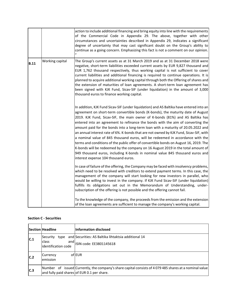|             |                 | action to include additional financing and bring equity into line with the requirements<br>of the Commercial Code in Appendix 29. The above, together with other<br>circumstances and uncertainties described in Appendix 29, indicates a significant<br>degree of uncertainty that may cast significant doubt on the Group's ability to<br>continue as a going concern. Emphasizing this fact is not a comment on our opinion.                                                                                                                                                                                                                                                                                                                                                                                                                                                                                        |
|-------------|-----------------|------------------------------------------------------------------------------------------------------------------------------------------------------------------------------------------------------------------------------------------------------------------------------------------------------------------------------------------------------------------------------------------------------------------------------------------------------------------------------------------------------------------------------------------------------------------------------------------------------------------------------------------------------------------------------------------------------------------------------------------------------------------------------------------------------------------------------------------------------------------------------------------------------------------------|
| <b>B.11</b> | Working capital | The Group's current assets as at 31 March 2019 and as at 31 December 2018 were<br>negative, short-term liabilities exceeded current assets by EUR 9,827 thousand and<br>EUR 1,762 thousand respectively, thus working capital is not sufficient to cover<br>current liabilities and additional financing is required to continue operations. It is<br>planned to acquire additional working capital through both the Offering of shares and<br>the extension of maturities of loan agreements. A short-term loan agreement has<br>been signed with KJK Fund, Sicav-SIF (under liquidation) in the amount of 3,000<br>thousand euros to finance working capital.                                                                                                                                                                                                                                                        |
|             |                 | In addition, KJK Fund Sicav-SIF (under liquidation) and AS Baltika have entered into an<br>agreement on short-term convertible bonds (K-bonds), the maturity date of August<br>2019. KJK Fund, Sicav-SIF, the main owner of K-bonds (81%) and AS Baltika has<br>entered into an agreement to refinance the bonds with the aim of converting the<br>amount paid for the bonds into a long-term loan with a maturity of 20.05.2022 and<br>an annual interest rate of 6%. K-bonds that are not owned by KJK Fund, Sicav-SIF, with<br>a nominal value of 845 thousand euros, will be redeemed in accordance with the<br>terms and conditions of the public offer of convertible bonds on August 16, 2019. The<br>K-bonds will be redeemed by the company on 16 August 2019 in the total amount of<br>949 thousand euros, including K-bonds in nominal value 845 thousand euros and<br>interest expense 104 thousand euros. |
|             |                 | In case of failure of the offering, the Company may be faced with insolvency problems,<br>which need to be resolved with creditors to extend payment terms. In this case, the<br>management of the company will start looking for new investors in parallel, who<br>would be willing to invest in the company. If KJK Fund Sicav-SIF (under liquidation)<br>fulfills its obligations set out in the Memorandum of Understanding, under-<br>subscription of the offering is not possible and the offering cannot fail.                                                                                                                                                                                                                                                                                                                                                                                                  |
|             |                 | To the knowledge of the company, the proceeds from the emission and the extension<br>of the loan agreements are sufficient to manage the company's working capital.                                                                                                                                                                                                                                                                                                                                                                                                                                                                                                                                                                                                                                                                                                                                                    |

|     | <b>Section Headline</b>                                          | Information disclosed                                                                                                                                  |
|-----|------------------------------------------------------------------|--------------------------------------------------------------------------------------------------------------------------------------------------------|
| C.1 | Security <br>type<br>and<br><b>class</b><br>lidentification code | and Securities: AS Baltika lihtaktsia additional 14<br>ISIN code: EE3801145618                                                                         |
| C.2 | Currency<br>emission                                             | oflEUR                                                                                                                                                 |
| C.3 |                                                                  | Number of issued Currently, the company's share capital consists of 4 079 485 shares at a nominal value<br>and fully paid shares of EUR 0.1 per share. |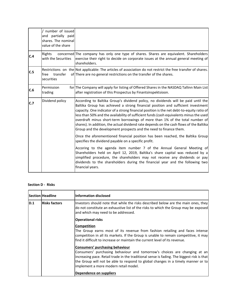|     | / number of issued<br>and partially paid<br>shares. The nominal<br>value of the share |                                                                                                                                                                                                                                                                                                                                                                                                                                                                                                                                                                                                               |
|-----|---------------------------------------------------------------------------------------|---------------------------------------------------------------------------------------------------------------------------------------------------------------------------------------------------------------------------------------------------------------------------------------------------------------------------------------------------------------------------------------------------------------------------------------------------------------------------------------------------------------------------------------------------------------------------------------------------------------|
| C.4 | Rights<br>with the Securities                                                         | concerned The company has only one type of shares. Shares are equivalent. Shareholders<br>exercise their right to decide on corporate issues at the annual general meeting of<br>shareholders.                                                                                                                                                                                                                                                                                                                                                                                                                |
| C.5 | transfer<br>free<br>securities                                                        | Restrictions on the Not applicable: The articles of association do not restrict the free transfer of shares.<br>of There are no general restrictions on the transfer of the shares.                                                                                                                                                                                                                                                                                                                                                                                                                           |
| C.6 | Permission<br>trading                                                                 | for The Company will apply for listing of Offered Shares in the NASDAQ Tallinn Main List<br>after registration of this Prospectus by Finantsinspektsioon.                                                                                                                                                                                                                                                                                                                                                                                                                                                     |
| C.7 | Dividend policy                                                                       | According to Baltika Group's dividend policy, no dividends will be paid until the<br>Baltika Group has achieved a strong financial position and sufficient investment<br>capacity. One indicator of a strong financial position is the net debt-to-equity ratio of<br>less than 50% and the availability of sufficient funds (cash equivalents minus the used<br>overdraft minus short-term borrowings of more than 1% of the total number of<br>shares). In addition, the actual dividend rate depends on the cash flows of the Baltika<br>Group and the development prospects and the need to finance them. |
|     |                                                                                       | Once the aforementioned financial position has been reached, the Baltika Group<br>specifies the dividend payable on a specific profit.                                                                                                                                                                                                                                                                                                                                                                                                                                                                        |
|     |                                                                                       | Accoring to the agenda item number 7 of the Annual General Meeting of<br>Shareholders held on April 12, 2019, Baltika's share capital was reduced by a<br>simplified procedure, the shareholders may not receive any dividends or pay<br>dividends to the shareholders during the financial year and the following two<br>financial years.                                                                                                                                                                                                                                                                    |

## **Section D - Risks**

|     | Section Headline     | <b>Information disclosed</b>                                                                                                                                                                                                                                |
|-----|----------------------|-------------------------------------------------------------------------------------------------------------------------------------------------------------------------------------------------------------------------------------------------------------|
| D.1 | <b>Risks factors</b> | Investors should note that while the risks described below are the main ones, they<br>do not constitute an exhaustive list of the risks to which the Group may be exposed<br>and which may need to be addressed.                                            |
|     |                      | <b>Operational risks</b>                                                                                                                                                                                                                                    |
|     |                      | Competition<br>The Group earns most of its revenue from fashion retailing and faces intense                                                                                                                                                                 |
|     |                      | competition in all its markets. If the Group is unable to remain competitive, it may<br>find it difficult to increase or maintain the current level of its revenue.                                                                                         |
|     |                      | Consumers' purchasing behaviour                                                                                                                                                                                                                             |
|     |                      | Consumers' purchasing behaviour and tomorrow's choices are changing at an<br>increasing pace. Retail trade in the traditional sense is fading. The biggest risk is that<br>the Group will not be able to respond to global changes in a timely manner or to |
|     |                      | implement a more modern retail model.                                                                                                                                                                                                                       |
|     |                      | Dependence on suppliers                                                                                                                                                                                                                                     |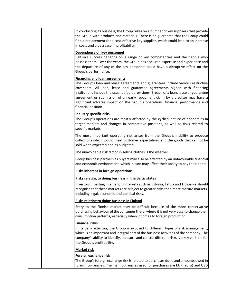|  | In conducting its business, the Group relies on a number of key suppliers that provide<br>the Group with products and materials. There is no guarantee that the Group could<br>find a replacement for a cost-effective key supplier, which could lead to an increase<br>in costs and a decrease in profitability.                                                                                                                                                                          |
|--|--------------------------------------------------------------------------------------------------------------------------------------------------------------------------------------------------------------------------------------------------------------------------------------------------------------------------------------------------------------------------------------------------------------------------------------------------------------------------------------------|
|  | Dependence on key personnel<br>Baltika's success depends on a range of key competencies and the people who<br>possess them. Over the years, the Group has acquired expertise and experience and<br>the departure of any of the key personnel could have a disruptive effect on the<br>Group's performance.                                                                                                                                                                                 |
|  | <b>Financing and loan agreements</b><br>The Group's loan and lease agreements and guarantees include various restrictive<br>covenants. All loan, lease and guarantee agreements signed with financing<br>institutions include the usual default provisions. Breach of a loan, lease or guarantee<br>agreement or submission of an early repayment claim by a creditor may have a<br>significant adverse impact on the Group's operations, financial performance and<br>financial position. |
|  | <b>Industry specific risks</b><br>The Group's operations are mostly affected by the cyclical nature of economies in<br>target markets and changes in competitive positions, as well as risks related to<br>specific markets.                                                                                                                                                                                                                                                               |
|  | The most important operating risk arises from the Group's inability to produce<br>collections which would meet customer expectations and the goods that cannot be<br>sold when expected and as budgeted.                                                                                                                                                                                                                                                                                   |
|  | The unavoidable risk factor in selling clothes is the weather.                                                                                                                                                                                                                                                                                                                                                                                                                             |
|  | Group business partners as buyers may also be affected by an unfavourable financial<br>and economic environment, which in turn may affect their ability to pay their debts.                                                                                                                                                                                                                                                                                                                |
|  | Risks inherent in foreign operations                                                                                                                                                                                                                                                                                                                                                                                                                                                       |
|  | Risks relating to doing business in the Baltic states                                                                                                                                                                                                                                                                                                                                                                                                                                      |
|  | Investors investing in emerging markets such as Estonia, Latvia and Lithuania should<br>recognise that these markets are subject to greater risks than more mature markets,<br>including legal, economic and political risks.                                                                                                                                                                                                                                                              |
|  | <b>Risks relating to doing business in Finland</b>                                                                                                                                                                                                                                                                                                                                                                                                                                         |
|  | Entry to the Finnish market may be difficult because of the more conservative<br>purchasing behaviour of the consumer there, where it is not very easy to change their<br>consumption patterns, especially when it comes to foreign production.                                                                                                                                                                                                                                            |
|  | <b>Financial risks</b><br>In its daily activities, the Group is exposed to different types of risk management,<br>which is an important and integral part of the business activities of the company. The<br>company's ability to identify, measure and control different risks is a key variable for<br>the Group's profitability.                                                                                                                                                         |
|  | <b>Market risk</b>                                                                                                                                                                                                                                                                                                                                                                                                                                                                         |
|  | Foreign exchange risk                                                                                                                                                                                                                                                                                                                                                                                                                                                                      |
|  | The Group's foreign exchange risk is related to purchases done and amounts owed in<br>foreign currencies. The main currencies used for purchases are EUR (euro) and USD                                                                                                                                                                                                                                                                                                                    |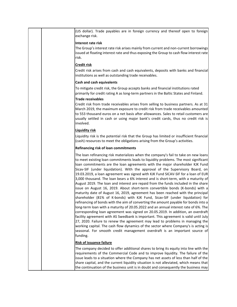|  | (US dollar). Trade payables are in foreign currency and thereof open to foreign<br>exchange risk.                                                                                                                                                                                                                                                                                                                                                                                                                                                                                                                                                                                                                                                                                                                                                                                                                                                                                                                                                                                                                                                                                                                                                                                                                                                                                                                                                                                            |
|--|----------------------------------------------------------------------------------------------------------------------------------------------------------------------------------------------------------------------------------------------------------------------------------------------------------------------------------------------------------------------------------------------------------------------------------------------------------------------------------------------------------------------------------------------------------------------------------------------------------------------------------------------------------------------------------------------------------------------------------------------------------------------------------------------------------------------------------------------------------------------------------------------------------------------------------------------------------------------------------------------------------------------------------------------------------------------------------------------------------------------------------------------------------------------------------------------------------------------------------------------------------------------------------------------------------------------------------------------------------------------------------------------------------------------------------------------------------------------------------------------|
|  | Interest rate risk<br>The Group's interest rate risk arises mainly from current and non-current borrowings<br>issued at floating interest rate and thus exposing the Group to cash flow interest rate<br>risk.                                                                                                                                                                                                                                                                                                                                                                                                                                                                                                                                                                                                                                                                                                                                                                                                                                                                                                                                                                                                                                                                                                                                                                                                                                                                               |
|  | <b>Credit risk</b>                                                                                                                                                                                                                                                                                                                                                                                                                                                                                                                                                                                                                                                                                                                                                                                                                                                                                                                                                                                                                                                                                                                                                                                                                                                                                                                                                                                                                                                                           |
|  | Credit risk arises from cash and cash equivalents, deposits with banks and financial<br>institutions as well as outstanding trade receivables.                                                                                                                                                                                                                                                                                                                                                                                                                                                                                                                                                                                                                                                                                                                                                                                                                                                                                                                                                                                                                                                                                                                                                                                                                                                                                                                                               |
|  | <b>Cash and cash equivalents</b>                                                                                                                                                                                                                                                                                                                                                                                                                                                                                                                                                                                                                                                                                                                                                                                                                                                                                                                                                                                                                                                                                                                                                                                                                                                                                                                                                                                                                                                             |
|  | To mitigate credit risk, the Group accepts banks and financial institutions rated<br>primarily for credit rating A as long-term partners in the Baltic States and Finland.                                                                                                                                                                                                                                                                                                                                                                                                                                                                                                                                                                                                                                                                                                                                                                                                                                                                                                                                                                                                                                                                                                                                                                                                                                                                                                                   |
|  | <b>Trade receivables</b>                                                                                                                                                                                                                                                                                                                                                                                                                                                                                                                                                                                                                                                                                                                                                                                                                                                                                                                                                                                                                                                                                                                                                                                                                                                                                                                                                                                                                                                                     |
|  | Credit risk from trade receivables arises from selling to business partners. As at 31<br>March 2019, the maximum exposure to credit risk from trade receivables amounted<br>to 553 thousand euros on a net basis after allowances. Sales to retail customers are<br>usually settled in cash or using major bank's credit cards, thus no credit risk is<br>involved.                                                                                                                                                                                                                                                                                                                                                                                                                                                                                                                                                                                                                                                                                                                                                                                                                                                                                                                                                                                                                                                                                                                          |
|  | <b>Liquidity risk</b>                                                                                                                                                                                                                                                                                                                                                                                                                                                                                                                                                                                                                                                                                                                                                                                                                                                                                                                                                                                                                                                                                                                                                                                                                                                                                                                                                                                                                                                                        |
|  | Liquidity risk is the potential risk that the Group has limited or insufficient financial<br>(cash) resources to meet the obligations arising from the Group's activities.                                                                                                                                                                                                                                                                                                                                                                                                                                                                                                                                                                                                                                                                                                                                                                                                                                                                                                                                                                                                                                                                                                                                                                                                                                                                                                                   |
|  | Refinancing risk of loan commitments                                                                                                                                                                                                                                                                                                                                                                                                                                                                                                                                                                                                                                                                                                                                                                                                                                                                                                                                                                                                                                                                                                                                                                                                                                                                                                                                                                                                                                                         |
|  | The loan refinancing risk materializes when the company's fail to take on new loans<br>to meet existing loan commitments leads to liquidity problems. The most significant<br>loan commitments are the loan agreements with the major shareholder KJK Fund<br>Sicav-SIF (under liquidation). With the approval of the Supervisory Board, on<br>19.03.2019, a loan agreement was signed with KJK Fund SICAV-SIF for a loan of EUR<br>3,000 thousand. The loan bears a 6% interest and is short-term, with a maturity of<br>August 2019. The loan and interest are repaid from the funds included in the share<br>issue on August 16, 2019. About short-term convertible bonds (K-bonds) with a<br>maturity date of August 16, 2019, agreement has been reached with the principal<br>shareholder (81% of K-bonds) with KJK Fund, Sicav-SIF (under liquidation) for<br>refinancing of bonds with the aim of converting the amount payable for bonds into a<br>long-term loan with a maturity of 20.05.2022 and an annual interest rate of 6%. The<br>corresponding loan agreement was signed on 20.05.2019. In addition, an overdraft<br>facility agreement with AS Swedbank is important. This agreement is valid until July<br>27, 2020. Failure to renew the agreement may lead to problems in managing the<br>working capital. The cash flow dynamics of the sector where Company's is acting is<br>seasonal. For smooth credit management overdraft is an important source of<br>funding. |
|  | <b>Risk of issuance failure</b>                                                                                                                                                                                                                                                                                                                                                                                                                                                                                                                                                                                                                                                                                                                                                                                                                                                                                                                                                                                                                                                                                                                                                                                                                                                                                                                                                                                                                                                              |
|  | The company decided to offer additional shares to bring its equity into line with the<br>requirements of the Commercial Code and to improve liquidity. The failure of the<br>issue leads to a situation where the Company has net assets of less than half of the<br>share capital, and the current liquidity situation is not alleviated, which means that<br>the continuation of the business unit is in doubt and consequently the business may                                                                                                                                                                                                                                                                                                                                                                                                                                                                                                                                                                                                                                                                                                                                                                                                                                                                                                                                                                                                                                           |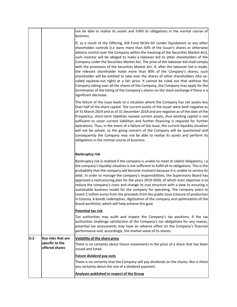|            |                                                         | not be able to realize its assets and fulfill its obligations in the normal course of<br>business.                                                                                                                                                                                                                                                                                                                                                                                                                                                                                                                                                                                                                                                                                                                                                                                                                                                                                                    |
|------------|---------------------------------------------------------|-------------------------------------------------------------------------------------------------------------------------------------------------------------------------------------------------------------------------------------------------------------------------------------------------------------------------------------------------------------------------------------------------------------------------------------------------------------------------------------------------------------------------------------------------------------------------------------------------------------------------------------------------------------------------------------------------------------------------------------------------------------------------------------------------------------------------------------------------------------------------------------------------------------------------------------------------------------------------------------------------------|
|            |                                                         | If, as a result of the Offering, KJK Fund SICAV-SIF (under liquidation) or any other<br>shareholder controls (i.e owns more than 50% of the Issuer's shares or otherwise<br>obtains control over the Company within the meaning of the Securities Market Act),<br>such investor will be obliged to make a takeover bid to other shareholders of the<br>Company under the Securities Market Act. The price of the takeover bid shall comply<br>with the provisions of the Securities Market Act. If, after the takeover bid is made,<br>the relevant shareholder holds more than 90% of the Company's shares, such<br>shareholder will be entitled to take over the shares of other shareholders (the so-<br>called squeeze-out right) at a fair price. It cannot be ruled out that without the<br>Company taking over all the shares of the Company, the Company may apply for the<br>termination of the listing of the Company's shares on the stock exchange if there is a<br>significant decrease. |
|            |                                                         | The failure of the issue leads to a situation where the Company has net assets less<br>than half of the share capital. The current assets of the issuer were both negative as<br>of 31 March 2019 and as of 31 December 2018 and are negative as of the date of the<br>Prospectus, short-term liabilities exceed current assets, thus working capital is not<br>sufficient to cover current liabilities and further financing is required for further<br>operations. Thus, in the event of a failure of the issue, the current liquidity situation<br>will not be solved, so the going concern of the Company will be questioned and<br>consequently the Company may not be able to realize its assets and perform its<br>obligations in the normal course of business.                                                                                                                                                                                                                               |
|            |                                                         | <b>Bankruptcy risk</b>                                                                                                                                                                                                                                                                                                                                                                                                                                                                                                                                                                                                                                                                                                                                                                                                                                                                                                                                                                                |
|            |                                                         | Bankruptcy risk is realized if the company is unable to meet its (debt) obligations, i.e<br>the company's liquidity situation is not sufficient to fulfill all its obligations. This is the<br>probability that the company will become insolvent because it is unable to service its<br>debt. In order to manage the company's responsibilities, the Supervisory Board has<br>approved a restructuring plan for the years 2019-2020, of which main objective is to<br>reduce the company's costs and change its cost structure with a view to ensuring a<br>sustainable business model for the company for operating. The company plans to<br>invest 2 million euros from the proceeds from the public issue (closure of production<br>in Estonia, K-bonds redemption, digitization of the company and optimization of the<br>brand portfolio), which will help achieve this goal.                                                                                                                   |
|            |                                                         | <b>Potential tax risk</b>                                                                                                                                                                                                                                                                                                                                                                                                                                                                                                                                                                                                                                                                                                                                                                                                                                                                                                                                                                             |
|            |                                                         | Tax authorities may audit and inspect the Company's tax positions. If the tax<br>authorities challenge satisfaction of the Company's tax obligations for any reason,<br>potential tax assessments may have an adverse effect on the Company's financial<br>performance and, accordingly, the market value of its shares.                                                                                                                                                                                                                                                                                                                                                                                                                                                                                                                                                                                                                                                                              |
| <b>D.3</b> | Key risks that are<br>specific to the<br>offered shares | <b>Volatility of the share price</b>                                                                                                                                                                                                                                                                                                                                                                                                                                                                                                                                                                                                                                                                                                                                                                                                                                                                                                                                                                  |
|            |                                                         | There is no certainty about future movements in the price of a share that has been<br>issued and listed.                                                                                                                                                                                                                                                                                                                                                                                                                                                                                                                                                                                                                                                                                                                                                                                                                                                                                              |
|            |                                                         | <b>Future dividend pay-outs</b>                                                                                                                                                                                                                                                                                                                                                                                                                                                                                                                                                                                                                                                                                                                                                                                                                                                                                                                                                                       |
|            |                                                         | There is no certainty that the Company will pay dividends on the shares. Nor is there<br>any certainty about the size of a dividend payment.                                                                                                                                                                                                                                                                                                                                                                                                                                                                                                                                                                                                                                                                                                                                                                                                                                                          |
|            |                                                         | Analyses published in respect of the Group                                                                                                                                                                                                                                                                                                                                                                                                                                                                                                                                                                                                                                                                                                                                                                                                                                                                                                                                                            |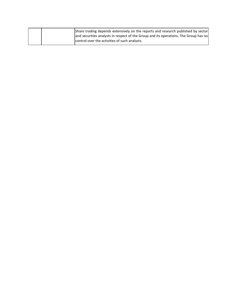|  | Share trading depends extensively on the reports and research published by sector    |
|--|--------------------------------------------------------------------------------------|
|  | and securities analysts in respect of the Group and its operations. The Group has no |
|  | control over the activities of such analysts.                                        |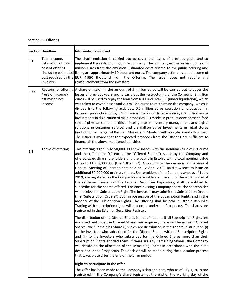| <b>Section E - Offering</b> |
|-----------------------------|
|                             |

|      | Section Headline                                                             | <b>Information disclosed</b>                                                                                                                                                                                                                                                                                                                                                                                                                                                                                                                                                                                                                                                                                                                                                                                                                                                                                                                                                                                                                                                                                                                                                                                          |
|------|------------------------------------------------------------------------------|-----------------------------------------------------------------------------------------------------------------------------------------------------------------------------------------------------------------------------------------------------------------------------------------------------------------------------------------------------------------------------------------------------------------------------------------------------------------------------------------------------------------------------------------------------------------------------------------------------------------------------------------------------------------------------------------------------------------------------------------------------------------------------------------------------------------------------------------------------------------------------------------------------------------------------------------------------------------------------------------------------------------------------------------------------------------------------------------------------------------------------------------------------------------------------------------------------------------------|
| E.1  | Total income.<br><b>Estimation of total</b><br>cost of offering<br>Investor) | The share emission is carried out to cover the losses of previous years and to<br>implement the restructuring of the Company. The company estimates an income of 5<br>million euros from the emission. Estimated costs related to the public offering and<br>(including estimated listing are approximately 10 thousand euros. The company estimates a net income of<br>cost required by the EUR 4,990 thousand from the Offering. The issuer does not require any<br>reimbursement from the investors.                                                                                                                                                                                                                                                                                                                                                                                                                                                                                                                                                                                                                                                                                                               |
| E.2a | / use of income /<br>estimated net<br>income                                 | Reasons for offering  A share emission in the amount of 5 million euros will be carried out to cover the<br>losses of previous years and to carry out the restructuring of the Company. 3 million<br>euros will be used to repay the loan from KJK Fund Sicav-SIF (under liquidation), which<br>was taken to cover losses and 2.0 million euros to restructure the company, which is<br>divided into the following activities: 0.5 million euros cessation of production in<br>Estonian production units, 0,9 million euros K-bonds redemption, 0.2 million euros<br>investments in digitization of main processes (3D model in product development, free<br>sale of physical sample, artificial intelligence in inventory management and digital<br>solutions in customer service) and 0.3 million euros Investments in retail stores<br>(including the merger of Bastion, Mosaic and Monton with a single brand - Monton).<br>The Issuer is aware that the expected proceeds from the Offering are sufficient to<br>finance all the above mentioned activities.                                                                                                                                                     |
| E.3  | Terms of offering                                                            | This offering is for up to 50,000,000 new shares with the nominal value of 0.1 euros<br>and the offer price 0.1 euros (the "Offered Shares") issued by the Company and<br>offered to existing shareholders and the public in Estonia with a total nominal value<br>of up to EUR 5,000,000 (the "Offering"). According to the decision of the Annual<br>General Meeting of Shareholders held on 12 April 2019, Baltika wishes to issue an<br>additional 50,000,000 ordinary shares. Shareholders of the Company who, as of 1 July<br>2019, are registered as the Company's shareholders at the end of the working day of<br>the settlement system of the Estonian Securities Depository, shall be entitled to<br>subscribe for the shares offered. For each existing Company Share, the shareholder<br>will receive one Subscription Right. The Investors may submit the Subscription Orders<br>(the "Subscription Orders") both in possession of the Subscription Rights and in the<br>absence of the Subscription Rights. The Offering shall be held in Estonia Republic.<br>Trading with subscription rights will not occur under the Prospectus. The shares are<br>registered in the Estonian Securities Register. |
|      |                                                                              | The distribution of the Offered Shares is predefined, i.e. if all Subscription Rights are<br>exercised and thus the Offered Shares are acquired, there will be no such Offered<br>Shares (the "Remaining Shares") which are distributed in the general distribution (i)<br>to the Investors who subscribed for the Offered Shares without Subscription Rights<br>and (ii) to the Investors who subscribed for the Offered Shares more than their<br>Subscription Rights entitled them. If there are any Remaining Shares, the Company<br>will decide on the allocation of the Remaining Shares in accordance with the rules<br>described in the Prospectus. The decision will be made during the allocation process<br>that takes place after the end of the offer period.                                                                                                                                                                                                                                                                                                                                                                                                                                            |
|      |                                                                              | Right to participate in the offer                                                                                                                                                                                                                                                                                                                                                                                                                                                                                                                                                                                                                                                                                                                                                                                                                                                                                                                                                                                                                                                                                                                                                                                     |
|      |                                                                              | The Offer has been made to the Company's shareholders, who as of July 1, 2019 are<br>registered in the Company's share register at the end of the working day of the                                                                                                                                                                                                                                                                                                                                                                                                                                                                                                                                                                                                                                                                                                                                                                                                                                                                                                                                                                                                                                                  |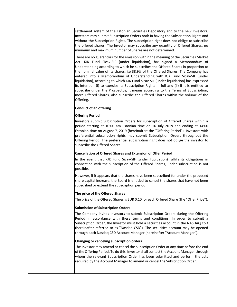settlement system of the Estonian Securities Depository and to the new Investors. Investors may submit Subscription Orders both in having the Subscription Rights and without the Subscription Rights. The subscription right does not oblige to subscribe the offered shares. The Investor may subscribe any quantity of Offered Shares, no minimum and maximum number of Shares are not determined.

There are no guarantors for the emission within the meaning of the Securities Market Act. KJK Fund Sicav-SIF (under liquidation), has signed a Memorandum of Understanding according to which he subscribes the Offered Shares in proportion to the nominal value of its shares, i.e 38.9% of the Offered Shares. The Company has entered into a Memorandum of Understanding with KJK Fund Sicav-SIF (under liquidation), according to which KJK Fund Sicav-SIF (under liquidation) has expressed its intention (i) to exercise its Subscription Rights in full and (ii) if it is entitled to subscribe under the Prospectus, it means according to the Terms of Subscription, more Offered Shares, also subscribe the Offered Shares within the volume of the Offering.

#### **Conduct of an offering**

#### **Offering Period**

Investors submit Subscription Orders for subscription of Offered Shares within a period starting at 10:00 am Estonian time on 16 July 2019 and ending at 14:00 Estonian time on August 7, 2019 (hereinafter: the "Offering Period"). Investors with preferential subscription rights may submit Subscription Orders throughout the Offering Period. The preferential subscription right does not oblige the investor to subscribe the Offered Shares.

#### **Cancellation of Offered Shares and Extension of Offer Period**

In the event that KJK Fund Sicav-SIF (under liquidation) fulfills its obligations in connection with the subscription of the Offered Shares, under subscription is not possible.

However, if it appears that the shares have been subscribed for under the proposed share capital increase, the Board is entitled to cancel the shares that have not been subscribed or extend the subscription period.

#### **The price of the Offered Shares**

The price of the Offered Shares is EUR 0.10 for each Offered Share (the "Offer Price").

#### **Submission of Subscription Orders**

The Company invites Investors to submit Subscription Orders during the Offering Period in accordance with these terms and conditions. In order to submit a Subscription Order, the Investor must hold a securities account in the NASDAQ CSD (hereinafter referred to as "Nasdaq CSD"). The securities account may be opened through each Nasdaq CSD Account Manager (hereinafter "Account Manager").

#### **Changing or canceling subscription orders**

The Investor may amend or cancel the Subscription Order at any time before the end of the Offering Period. To do this, Investor shall contact the Account Manager through whom the relevant Subscription Order has been submitted and perform the acts required by the Account Manager to amend or cancel the Subscription Order.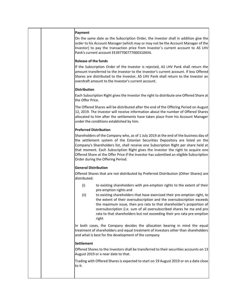|  | Payment<br>On the same date as the Subscription Order, the Investor shall in addition give the<br>order to his Account Manager (which may or may not be the Account Manager of the<br>Investor) to pay the transaction price from Investor's current account to AS LHV<br>Pank's current account EE397700777000310434.                                                                                                                                                                                    |
|--|-----------------------------------------------------------------------------------------------------------------------------------------------------------------------------------------------------------------------------------------------------------------------------------------------------------------------------------------------------------------------------------------------------------------------------------------------------------------------------------------------------------|
|  | <b>Release of the funds</b><br>If the Subscription Order of the Investor is rejected, AS LHV Pank shall return the<br>amount transferred to the Investor to the Investor's current account. If less Offered<br>Shares are distributed to the Investor, AS LHV Pank shall return to the Investor an<br>overdraft amount to the Investor's current account.                                                                                                                                                 |
|  | <b>Distribution</b><br>Each Subscription Right gives the Investor the right to distribute one Offered Share at<br>the Offer Price.                                                                                                                                                                                                                                                                                                                                                                        |
|  | The Offered Shares will be distributed after the end of the Offering Period on August<br>12, 2019. The Investor will receive information about the number of Offered Shares<br>allocated to him after the settlements have taken place from his Account Manager<br>under the conditions established by him.                                                                                                                                                                                               |
|  | <b>Preferred Distribution</b>                                                                                                                                                                                                                                                                                                                                                                                                                                                                             |
|  | Shareholders of the Company who, as of 1 July 2019 at the end of the business day of<br>the settlement system of the Estonian Securities Depository are listed on the<br>Company's Shareholders list, shall receive one Subscription Right per share held at<br>that moment. Each Subscription Right gives the Investor the right to acquire one<br>Offered Share at the Offer Price if the Investor has submitted an eligible Subscription<br>Order during the Offering Period.                          |
|  | <b>General Distribution</b>                                                                                                                                                                                                                                                                                                                                                                                                                                                                               |
|  | Offered Shares that are not distributed by Preferred Distribution (Other Shares) are<br>distributed:                                                                                                                                                                                                                                                                                                                                                                                                      |
|  | (i)<br>to existing shareholders with pre-emption rights to the extent of their<br>pre-emption rights and<br>to existing shareholders that have exercised their pre-emption right, to<br>(ii)<br>the extent of their oversubscription and the oversubscription exceeds<br>the maximum issue, then pro rata to that shareholder's proportion of<br>oversubscription (i.e. sum of all oversubscribed shares he ma and pro<br>rata to that shareholders but not exceeding their pro rata pre-emption<br>right |
|  | In both cases, the Company decides the allocation bearing in mind the equal<br>treatment of shareholders and equal treatment of investors other than shareholders<br>and what is best for the development of the company                                                                                                                                                                                                                                                                                  |
|  | <b>Settlement</b>                                                                                                                                                                                                                                                                                                                                                                                                                                                                                         |
|  | Offered Shares to the Investors shall be transferred to their securities accounts on 13<br>August 2019 or a near date to that.                                                                                                                                                                                                                                                                                                                                                                            |
|  | Trading with Offered Shares is expected to start on 19 August 2019 or on a date close<br>to it.                                                                                                                                                                                                                                                                                                                                                                                                           |
|  |                                                                                                                                                                                                                                                                                                                                                                                                                                                                                                           |